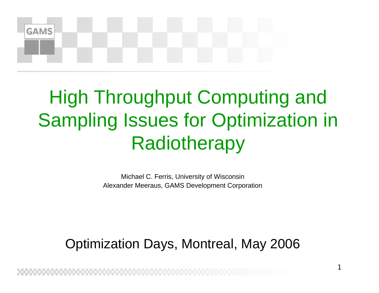# **GAMS**

## High Throughput Computing and Sampling Issues for Optimization in Radiotherapy

Michael C. Ferris, University of Wisconsin Alexander Meeraus, GAMS Development Corporation

#### Optimization Days, Montreal, May 2006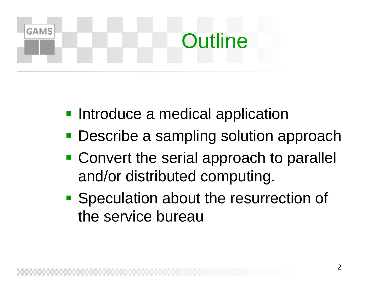## **GAMS Outline**

- **Introduce a medical application**
- **Describe a sampling solution approach**
- **Convert the serial approach to parallel** and/or distributed computing.
- **Speculation about the resurrection of** the service bureau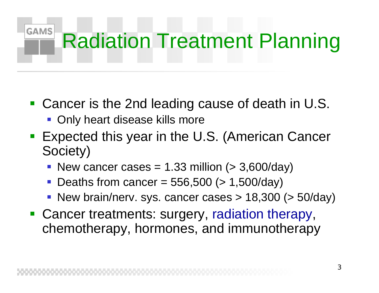#### **GAMS** Radiation Treatment Planning

- Cancer is the 2nd leading cause of death in U.S.
	- **Only heart disease kills more**
- Expected this year in the U.S. (American Cancer Society)
	- New cancer cases =  $1.33$  million ( $> 3,600$ /day)
	- Deaths from cancer =  $556,500$  (> 1,500/day)
	- New brain/nerv. sys. cancer cases  $> 18,300$  ( $> 50$ /day)
- **Cancer treatments: surgery, radiation therapy,** chemotherapy, hormones, and immunotherapy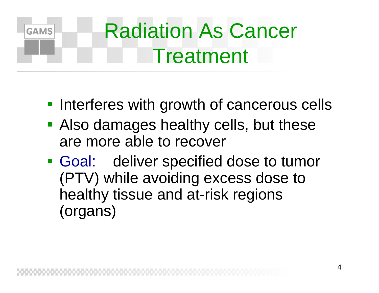#### Radiation As Cancer **GAMS** Treatment

- **Interferes with growth of cancerous cells**
- **Also damages healthy cells, but these** are more able to recover
- **Goal:** deliver specified dose to tumor (PTV) while avoiding excess dose to healthy tissue and at-risk regions (organs)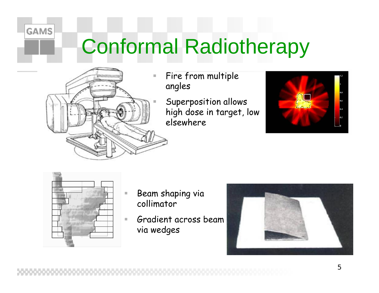## Conformal Radiotherapy



**GAMS** 

L.

 Fire from multiple angles

> Superposition allows high dose in target, low elsewhere





- Beam shaping via collimator
- $\mathbb{R}^n$  Gradient across beam via wedges

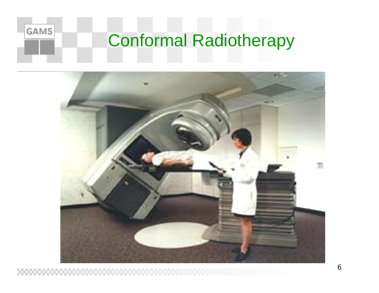

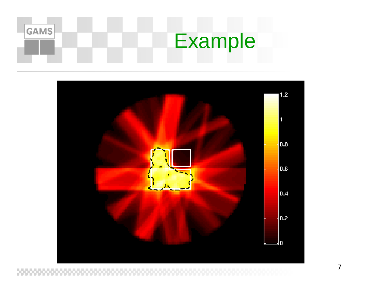



7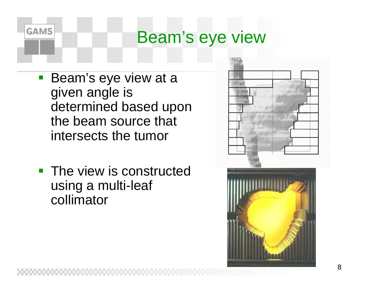#### Beam's eye view

 Beam's eye view at a given angle is determined based upon the beam source that intersects the tumor

**GAMS** 

**The view is constructed** using a multi-leaf collimator



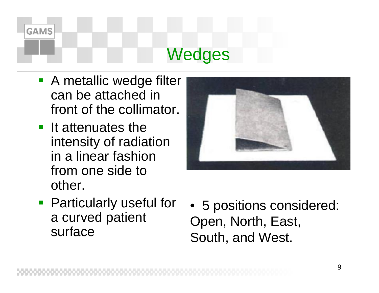## **GAMS Wedges**

- **A** metallic wedge filter can be attached in front of the collimator.
- **If attenuates the** intensity of radiation in a linear fashion from one side to other.



- **Particularly useful for** a curved patient surface
- 5 positions considered: Open, North, East, South, and West.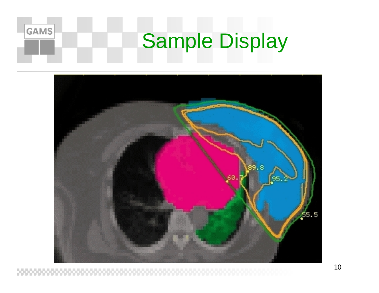## Sample Display

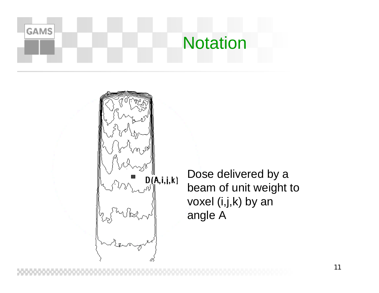

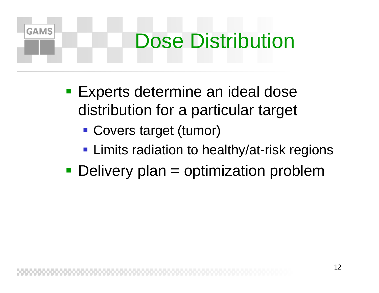## **GAMS** Dose Distribution

- **Experts determine an ideal dose** distribution for a particular target
	- Covers target (tumor)
	- **Limits radiation to healthy/at-risk regions**
- Delivery plan = optimization problem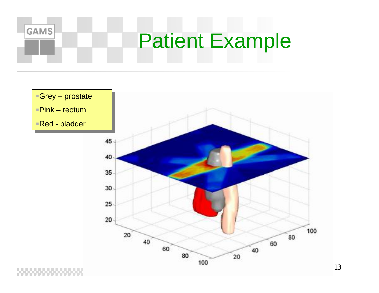

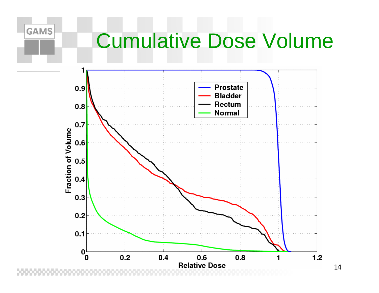## Cumulative Dose Volume

**GAMS** 



14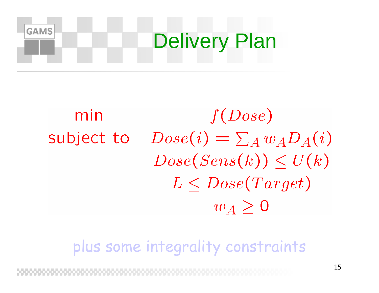## **GAMS** Delivery Plan

#### min  $f(Dose)$  $Dose(i) = \sum_{A} w_A D_A(i)$ subject to  $Dose(Sens(k)) < U(k)$  $L < Dose(Target)$  $w_A > 0$

plus some integrality constraints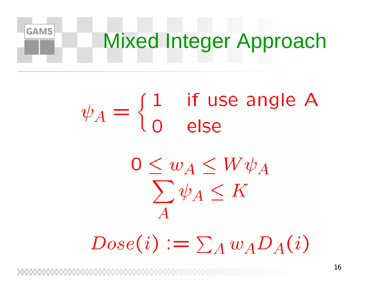Mixed Integer Approach

# $\psi_A = \begin{cases} 1 & \text{if use angle A} \\ 0 & \text{else} \end{cases}$

**GAMS** 

 $0 \leq w_A \leq W \psi_A$  $\sum \psi_A \leq K$ 

 $Dose(i) := \sum_A w_A D_A(i)$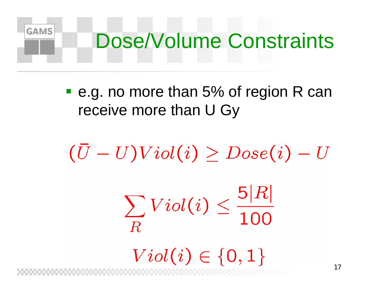## **GAMS** Dose/Volume Constraints

**e.g. no more than 5% of region R can** receive more than U Gy

 $(\bar{U}-U)Viol(i) \geq Dose(i) - U$  $\sum_R Viol(i) \leq \frac{5|R|}{100}$  $Vol(i) \in \{0,1\}$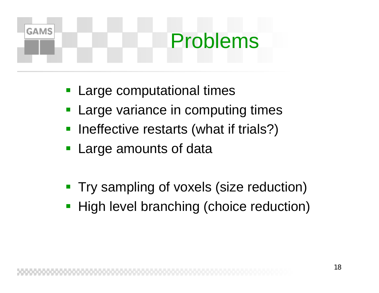## **GAMS** Problems

- **Large computational times**
- $\mathbb{R}^3$ Large variance in computing times
- $\overline{\phantom{a}}$ Ineffective restarts (what if trials?)
- **Large amounts of data**
- $\mathbb{R}^3$ Try sampling of voxels (size reduction)
- **High level branching (choice reduction)**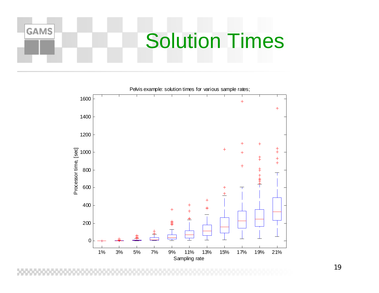## **GAMS** Solution Times



Pelvis example: solution times for various sample rates;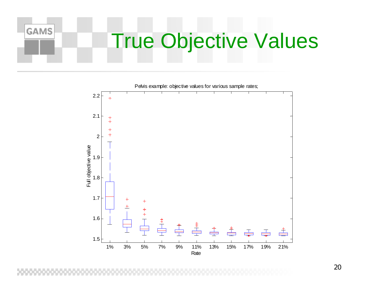## True Objective Values



Pelvis example: objective values for various sample rates;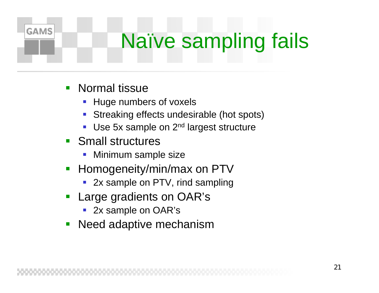## Naïve sampling fails

**Normal tissue** 

- Huge numbers of voxels
- Streaking effects undesirable (hot spots)
- **Service Service** Use 5x sample on 2<sup>nd</sup> largest structure
- **Small structures** 
	- Minimum sample size
- Homogeneity/min/max on PTV
	- $\mathcal{L}_{\mathcal{A}}$ 2x sample on PTV, rind sampling
- Large gradients on OAR's
	- 2x sample on OAR's
- Need adaptive mechanism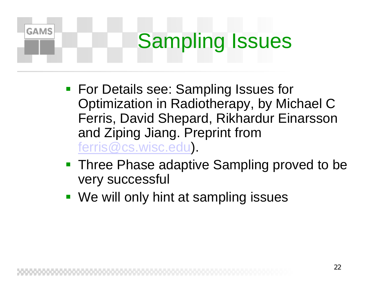## **GAMS** Sampling Issues

- **For Details see: Sampling Issues for** Optimization in Radiotherapy, by Michael C Ferris, David Shepard, Rikhardur Einarsson and Ziping Jiang. Preprint from ferris@cs.wisc.edu).
- **Three Phase adaptive Sampling proved to be** very successful
- We will only hint at sampling issues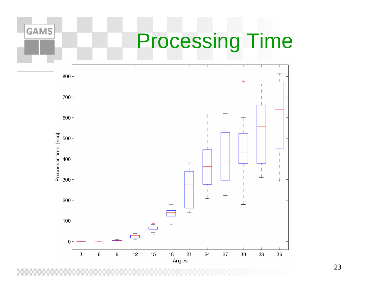

#### 23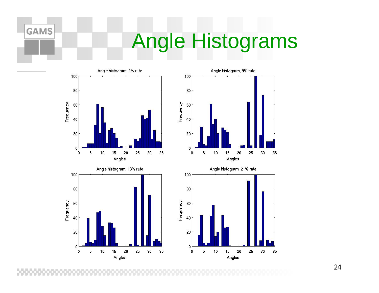## Angle Histograms





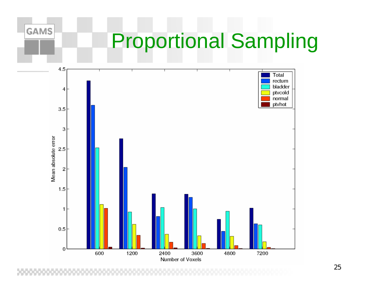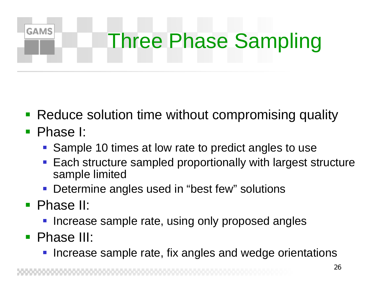### **GAMS** Three Phase Sampling

- Reduce solution time without compromising quality
- Phase I:
	- **Sample 10 times at low rate to predict angles to use**
	- Each structure sampled proportionally with largest structure sample limited
	- **Determine angles used in "best few" solutions**
- **Phase II:** 
	- **Increase sample rate, using only proposed angles**
- Phase III:
	- Increase sample rate, fix angles and wedge orientations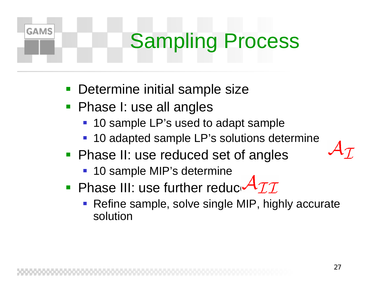## Sampling Process

- $\mathbb{R}^3$ Determine initial sample size
- **Phase I: use all angles**

- 10 sample LP's used to adapt sample
- 10 adapted sample LP's solutions determine
- **Phase II: use reduced set of angles** 
	- 10 sample MIP's determine
- **Phase III: use further reduce**  $\forall \mathcal{II}$ 
	- Refine sample, solve single MIP, highly accurate solution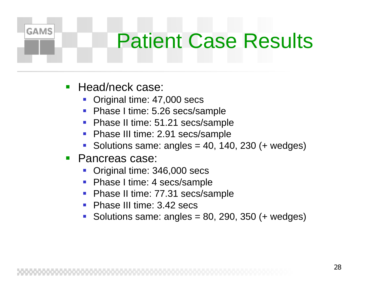## Patient Case Results

Head/neck case:

- **Service Service** Original time: 47,000 secs
- Phase I time: 5.26 secs/sample
- $\mathcal{L}_{\mathcal{A}}$ Phase II time: 51.21 secs/sample
- **Service Service** Phase III time: 2.91 secs/sample
- **Service Service** Solutions same: angles  $= 40, 140, 230$  (+ wedges)
- **Pancreas case:** 
	- Original time: 346,000 secs
	- Phase I time: 4 secs/sample
	- Phase II time: 77.31 secs/sample
	- Phase III time: 3.42 secs
	- Solutions same: angles =  $80, 290, 350$  (+ wedges)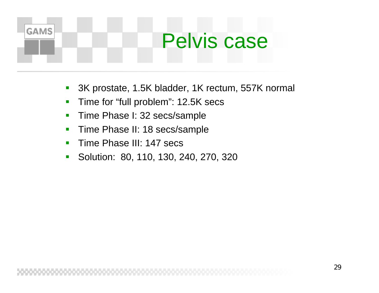## **GAMS** Pelvis case

- **Service Service** 3K prostate, 1.5K bladder, 1K rectum, 557K normal
- $\blacksquare$ Time for "full problem": 12.5K secs
- $\blacksquare$ Time Phase I: 32 secs/sample
- $\blacksquare$ Time Phase II: 18 secs/sample
- $\blacksquare$ Time Phase III: 147 secs
- $\blacksquare$ Solution: 80, 110, 130, 240, 270, 320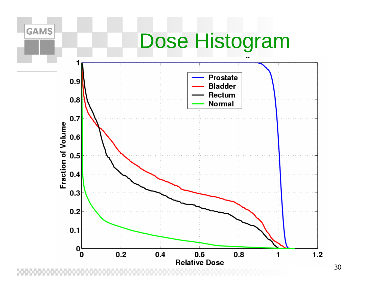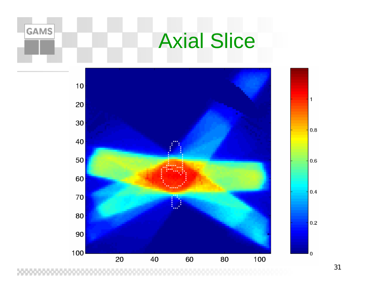## Axial Slice

**GAMS** 



31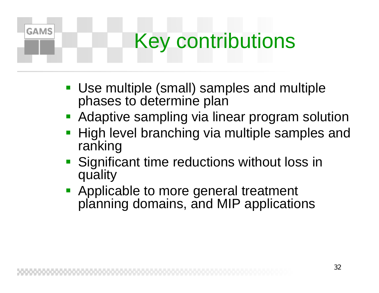## Key contributions

- Use multiple (small) samples and multiple phases to determine plan
- **Adaptive sampling via linear program solution**
- $\mathbb{R}^3$  High level branching via multiple samples and ranking
- **Significant time reductions without loss in** quality
- **Applicable to more general treatment** planning domains, and MIP applications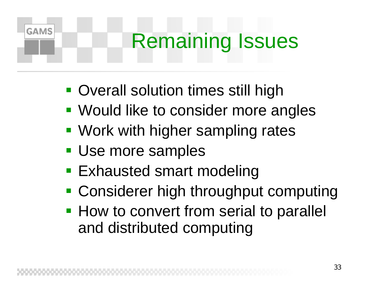## Remaining Issues

- **Overall solution times still high**
- **Would like to consider more angles**
- **Work with higher sampling rates**
- **Use more samples**

- **Exhausted smart modeling**
- **Considerer high throughput computing**
- **How to convert from serial to parallel** and distributed computing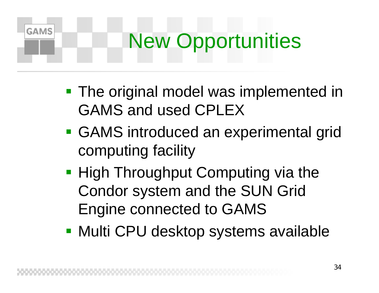## New Opportunities

- **The original model was implemented in** GAMS and used CPLEX
- GAMS introduced an experimental grid computing facility
- **High Throughput Computing via the** Condor system and the SUN Grid Engine connected to GAMS
- **Multi CPU desktop systems available**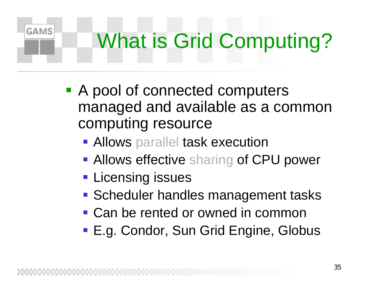## What is Grid Computing?

- **A pool of connected computers** managed and available as a common computing resource
	- **Allows parallel task execution**
	- **Allows effective sharing of CPU power**
	- **Licensing issues**

- **Scheduler handles management tasks**
- Can be rented or owned in common
- E.g. Condor, Sun Grid Engine, Globus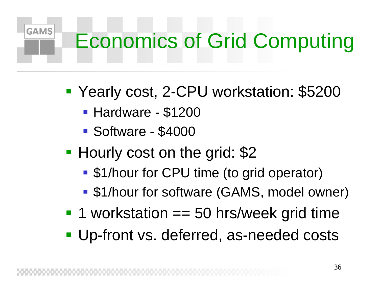## Economics of Grid Computing

- $\frac{1}{2}$  Yearly cost, 2-CPU workstation: \$5200
	- Hardware \$1200

- Software \$4000
- $\frac{1}{2}$ **Hourly cost on the grid: \$2** 
	- \$1/hour for CPU time (to grid operator)
	- \$1/hour for software (GAMS, model owner)
- **1 workstation == 50 hrs/week grid time**
- **Up-front vs. deferred, as-needed costs**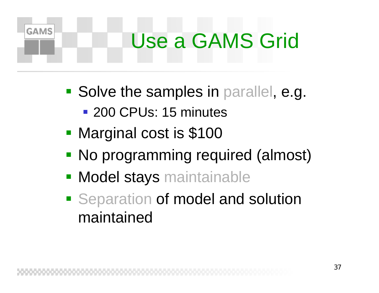## Use a GAMS Grid

- **Solve the samples in parallel, e.g.** 
	- **200 CPUs: 15 minutes**
- $\mathbb{R}^3$ Marginal cost is \$100

- No programming required (almost)
- **Model stays maintainable**
- **Separation of model and solution** maintained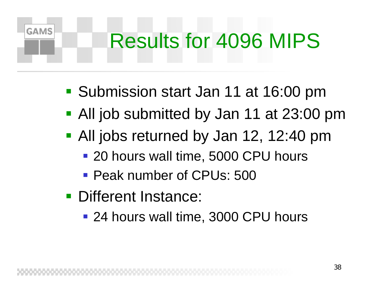## Results for 4096 MIPS

- **Submission start Jan 11 at 16:00 pm**
- All job submitted by Jan 11 at 23:00 pm
- **All jobs returned by Jan 12, 12:40 pm** 
	- 20 hours wall time, 5000 CPU hours
	- **Peak number of CPUs: 500**
- **Different Instance:**

**GAMS** 

■ 24 hours wall time, 3000 CPU hours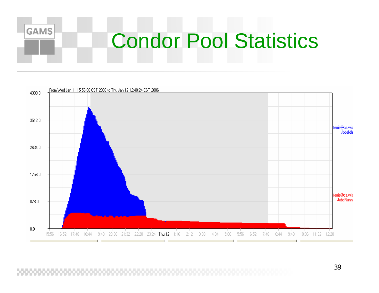

## Condor Pool Statistics



39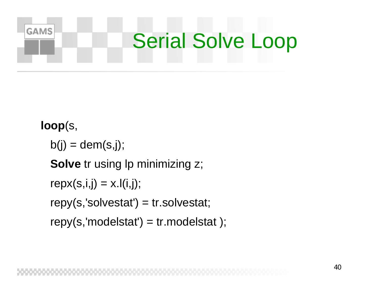

**loop**(s,

 $b(i) = \text{dem}(s,j);$ 

**Solve** tr using lp minimizing z;

 $repx(s,i,j) = x.l(i,j);$ 

 $repy(s, 'solvestat') = tr.solvestat;$ 

 $repy(s, 'modelstat') = tr.modelstat$ ;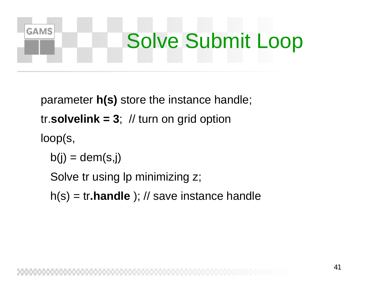## **GAMS** Solve Submit Loop

parameter **h(s)** store the instance handle; tr.solvelink =  $3$ ;  $\frac{1}{10}$  turn on grid option loop(s,

 $b(j) = \text{dem}(s,j)$ 

Solve tr using Ip minimizing z;

h(s) = tr**.handle** ); // save instance handle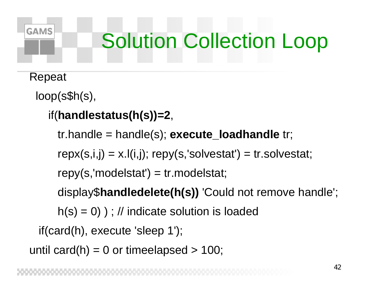## **GAMS**

## Solution Collection Loop

Repeat

loop(s\$h(s),

```
if(handlestatus(h(s))=2,
```
tr.handle = handle(s); **execute\_loadhandle** tr;

 $repx(s,i,j) = x.I(i,j); repy(s,'solvestat') = tr.solvestat;$ 

 $repy(s, 'modelstat') = tr.modelstat;$ 

display\$**handledelete(h(s))** 'Could not remove handle';

 $h(s) = 0$ ) ; // indicate solution is loaded

if(card(h), execute 'sleep 1');

```
until card(h) = 0 or timeelapsed > 100;
```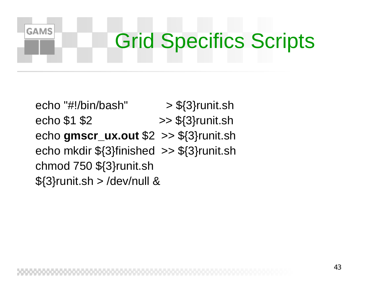## Grid Specifics Scripts

echo "#!/bin/bash" > \${3}runit.sh echo  $$1$   $$2$   $\rightarrow$   $$3}$ runit.sh echo **gmscr\_ux.out** \$2 >> \${3}runit.sh echo mkdir \${3}finished >> \${3}runit.sh chmod 750 \${3}runit.sh  $${3}$ runit.sh > /dev/null &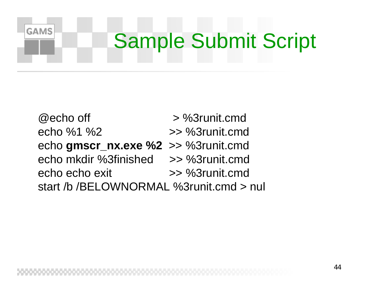## Sample Submit Script

 $@$  echo off  $\geq %3$  runit.cmd echo %1 %2 >> %3runit.cmdecho **gmscr\_nx.exe %2** >> %3runit.cmd echo mkdir %3finished >> %3runit.cmdecho echo exit >> %3runit.cmd start /b /BELOWNORMAL %3runit.cmd <sup>&</sup>gt; nul